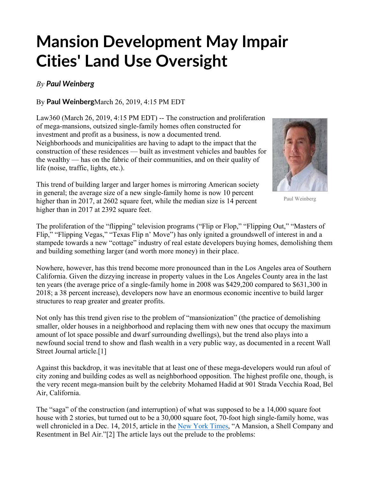## **Mansion Development May Impair Cities' Land Use Oversight**

## *By Paul Weinberg*

By **Paul Weinberg**March 26, 2019, 4:15 PM EDT

Law360 (March 26, 2019, 4:15 PM EDT) -- The construction and proliferation of mega-mansions, outsized single-family homes often constructed for investment and profit as a business, is now a documented trend. Neighborhoods and municipalities are having to adapt to the impact that the construction of these residences — built as investment vehicles and baubles for the wealthy — has on the fabric of their communities, and on their quality of life (noise, traffic, lights, etc.).





Paul Weinberg

The proliferation of the "flipping" television programs ("Flip or Flop," "Flipping Out," "Masters of Flip," "Flipping Vegas," "Texas Flip n' Move") has only ignited a groundswell of interest in and a stampede towards a new "cottage" industry of real estate developers buying homes, demolishing them and building something larger (and worth more money) in their place.

Nowhere, however, has this trend become more pronounced than in the Los Angeles area of Southern California. Given the dizzying increase in property values in the Los Angeles County area in the last ten years (the average price of a single-family home in 2008 was \$429,200 compared to \$631,300 in 2018; a 38 percent increase), developers now have an enormous economic incentive to build larger structures to reap greater and greater profits.

Not only has this trend given rise to the problem of "mansionization" (the practice of demolishing smaller, older houses in a neighborhood and replacing them with new ones that occupy the maximum amount of lot space possible and dwarf surrounding dwellings), but the trend also plays into a newfound social trend to show and flash wealth in a very public way, as documented in a recent Wall Street Journal article.[1]

Against this backdrop, it was inevitable that at least one of these mega-developers would run afoul of city zoning and building codes as well as neighborhood opposition. The highest profile one, though, is the very recent mega-mansion built by the celebrity Mohamed Hadid at 901 Strada Vecchia Road, Bel Air, California.

The "saga" of the construction (and interruption) of what was supposed to be a 14,000 square foot house with 2 stories, but turned out to be a 30,000 square foot, 70-foot high single-family home, was well chronicled in a Dec. 14, 2015, article in the New York Times, "A Mansion, a Shell Company and Resentment in Bel Air."[2] The article lays out the prelude to the problems: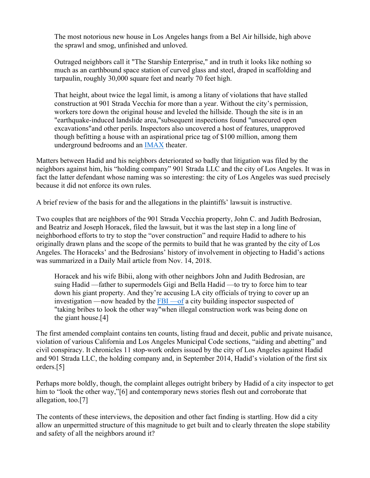The most notorious new house in Los Angeles hangs from a Bel Air hillside, high above the sprawl and smog, unfinished and unloved.

Outraged neighbors call it "The Starship Enterprise," and in truth it looks like nothing so much as an earthbound space station of curved glass and steel, draped in scaffolding and tarpaulin, roughly 30,000 square feet and nearly 70 feet high.

That height, about twice the legal limit, is among a litany of violations that have stalled construction at 901 Strada Vecchia for more than a year. Without the city's permission, workers tore down the original house and leveled the hillside. Though the site is in an "earthquake-induced landslide area,"subsequent inspections found "unsecured open excavations"and other perils. Inspectors also uncovered a host of features, unapproved though befitting a house with an aspirational price tag of \$100 million, among them underground bedrooms and an IMAX theater.

Matters between Hadid and his neighbors deteriorated so badly that litigation was filed by the neighbors against him, his "holding company" 901 Strada LLC and the city of Los Angeles. It was in fact the latter defendant whose naming was so interesting: the city of Los Angeles was sued precisely because it did not enforce its own rules.

A brief review of the basis for and the allegations in the plaintiffs' lawsuit is instructive.

Two couples that are neighbors of the 901 Strada Vecchia property, John C. and Judith Bedrosian, and Beatriz and Joseph Horacek, filed the lawsuit, but it was the last step in a long line of neighborhood efforts to try to stop the "over construction" and require Hadid to adhere to his originally drawn plans and the scope of the permits to build that he was granted by the city of Los Angeles. The Horaceks' and the Bedrosians' history of involvement in objecting to Hadid's actions was summarized in a Daily Mail article from Nov. 14, 2018.

Horacek and his wife Bibii, along with other neighbors John and Judith Bedrosian, are suing Hadid —father to supermodels Gigi and Bella Hadid —to try to force him to tear down his giant property. And they're accusing LA city officials of trying to cover up an investigation —now headed by the  $FBI$  —of a city building inspector suspected of "taking bribes to look the other way"when illegal construction work was being done on the giant house.[4]

The first amended complaint contains ten counts, listing fraud and deceit, public and private nuisance, violation of various California and Los Angeles Municipal Code sections, "aiding and abetting" and civil conspiracy. It chronicles 11 stop-work orders issued by the city of Los Angeles against Hadid and 901 Strada LLC, the holding company and, in September 2014, Hadid's violation of the first six orders.[5]

Perhaps more boldly, though, the complaint alleges outright bribery by Hadid of a city inspector to get him to "look the other way,"[6] and contemporary news stories flesh out and corroborate that allegation, too.[7]

The contents of these interviews, the deposition and other fact finding is startling. How did a city allow an unpermitted structure of this magnitude to get built and to clearly threaten the slope stability and safety of all the neighbors around it?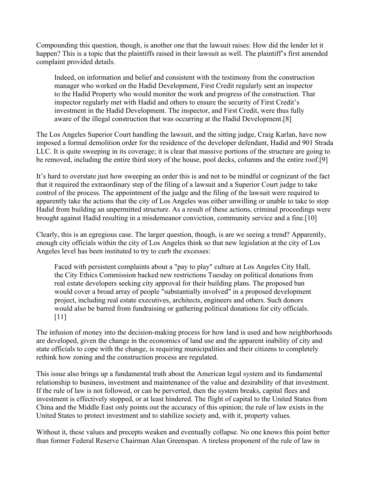Compounding this question, though, is another one that the lawsuit raises: How did the lender let it happen? This is a topic that the plaintiffs raised in their lawsuit as well. The plaintiff's first amended complaint provided details.

Indeed, on information and belief and consistent with the testimony from the construction manager who worked on the Hadid Development, First Credit regularly sent an inspector to the Hadid Property who would monitor the work and progress of the construction. That inspector regularly met with Hadid and others to ensure the security of First Credit's investment in the Hadid Development. The inspector, and First Credit, were thus fully aware of the illegal construction that was occurring at the Hadid Development.[8]

The Los Angeles Superior Court handling the lawsuit, and the sitting judge, Craig Karlan, have now imposed a formal demolition order for the residence of the developer defendant, Hadid and 901 Strada LLC. It is quite sweeping in its coverage; it is clear that massive portions of the structure are going to be removed, including the entire third story of the house, pool decks, columns and the entire roof.[9]

It's hard to overstate just how sweeping an order this is and not to be mindful or cognizant of the fact that it required the extraordinary step of the filing of a lawsuit and a Superior Court judge to take control of the process. The appointment of the judge and the filing of the lawsuit were required to apparently take the actions that the city of Los Angeles was either unwilling or unable to take to stop Hadid from building an unpermitted structure. As a result of these actions, criminal proceedings were brought against Hadid resulting in a misdemeanor conviction, community service and a fine.[10]

Clearly, this is an egregious case. The larger question, though, is are we seeing a trend? Apparently, enough city officials within the city of Los Angeles think so that new legislation at the city of Los Angeles level has been instituted to try to curb the excesses:

Faced with persistent complaints about a "pay to play" culture at Los Angeles City Hall, the City Ethics Commission backed new restrictions Tuesday on political donations from real estate developers seeking city approval for their building plans. The proposed ban would cover a broad array of people "substantially involved" in a proposed development project, including real estate executives, architects, engineers and others. Such donors would also be barred from fundraising or gathering political donations for city officials. [11]

The infusion of money into the decision-making process for how land is used and how neighborhoods are developed, given the change in the economics of land use and the apparent inability of city and state officials to cope with the change, is requiring municipalities and their citizens to completely rethink how zoning and the construction process are regulated.

This issue also brings up a fundamental truth about the American legal system and its fundamental relationship to business, investment and maintenance of the value and desirability of that investment. If the rule of law is not followed, or can be perverted, then the system breaks, capital flees and investment is effectively stopped, or at least hindered. The flight of capital to the United States from China and the Middle East only points out the accuracy of this opinion; the rule of law exists in the United States to protect investment and to stabilize society and, with it, property values.

Without it, these values and precepts weaken and eventually collapse. No one knows this point better than former Federal Reserve Chairman Alan Greenspan. A tireless proponent of the rule of law in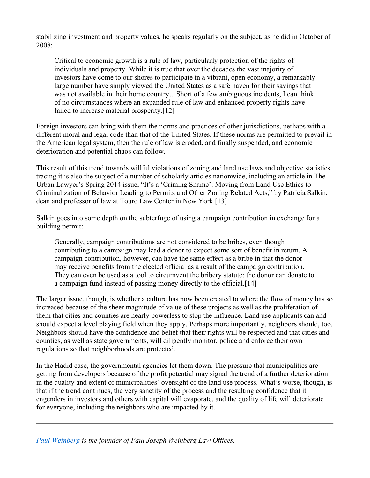stabilizing investment and property values, he speaks regularly on the subject, as he did in October of 2008:

Critical to economic growth is a rule of law, particularly protection of the rights of individuals and property. While it is true that over the decades the vast majority of investors have come to our shores to participate in a vibrant, open economy, a remarkably large number have simply viewed the United States as a safe haven for their savings that was not available in their home country…Short of a few ambiguous incidents, I can think of no circumstances where an expanded rule of law and enhanced property rights have failed to increase material prosperity.[12]

Foreign investors can bring with them the norms and practices of other jurisdictions, perhaps with a different moral and legal code than that of the United States. If these norms are permitted to prevail in the American legal system, then the rule of law is eroded, and finally suspended, and economic deterioration and potential chaos can follow.

This result of this trend towards willful violations of zoning and land use laws and objective statistics tracing it is also the subject of a number of scholarly articles nationwide, including an article in The Urban Lawyer's Spring 2014 issue, "It's a 'Criming Shame': Moving from Land Use Ethics to Criminalization of Behavior Leading to Permits and Other Zoning Related Acts," by Patricia Salkin, dean and professor of law at Touro Law Center in New York.[13]

Salkin goes into some depth on the subterfuge of using a campaign contribution in exchange for a building permit:

Generally, campaign contributions are not considered to be bribes, even though contributing to a campaign may lead a donor to expect some sort of benefit in return. A campaign contribution, however, can have the same effect as a bribe in that the donor may receive benefits from the elected official as a result of the campaign contribution. They can even be used as a tool to circumvent the bribery statute: the donor can donate to a campaign fund instead of passing money directly to the official.[14]

The larger issue, though, is whether a culture has now been created to where the flow of money has so increased because of the sheer magnitude of value of these projects as well as the proliferation of them that cities and counties are nearly powerless to stop the influence. Land use applicants can and should expect a level playing field when they apply. Perhaps more importantly, neighbors should, too. Neighbors should have the confidence and belief that their rights will be respected and that cities and counties, as well as state governments, will diligently monitor, police and enforce their own regulations so that neighborhoods are protected.

In the Hadid case, the governmental agencies let them down. The pressure that municipalities are getting from developers because of the profit potential may signal the trend of a further deterioration in the quality and extent of municipalities' oversight of the land use process. What's worse, though, is that if the trend continues, the very sanctity of the process and the resulting confidence that it engenders in investors and others with capital will evaporate, and the quality of life will deteriorate for everyone, including the neighbors who are impacted by it.

*Paul Weinberg is the founder of Paul Joseph Weinberg Law Offices.*